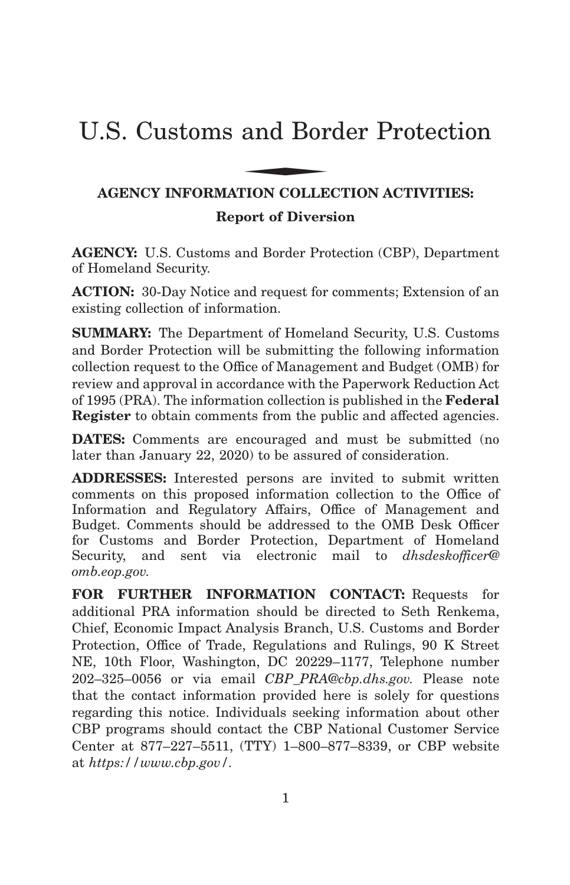# U.S. Customs and Border Protection and Bor

## **AGENCY INFORMATION COLLECTION ACTIVITIES: Report of Diversion**

**AGENCY:** U.S. Customs and Border Protection (CBP), Department of Homeland Security.

**ACTION:** 30-Day Notice and request for comments; Extension of an existing collection of information.

**SUMMARY:** The Department of Homeland Security, U.S. Customs and Border Protection will be submitting the following information collection request to the Office of Management and Budget (OMB) for review and approval in accordance with the Paperwork Reduction Act of 1995 (PRA). The information collection is published in the **Federal Register** to obtain comments from the public and affected agencies.

**DATES:** Comments are encouraged and must be submitted (no later than January 22, 2020) to be assured of consideration.

**ADDRESSES:** Interested persons are invited to submit written comments on this proposed information collection to the Office of Information and Regulatory Affairs, Office of Management and Budget. Comments should be addressed to the OMB Desk Officer for Customs and Border Protection, Department of Homeland Security, and sent via electronic mail to *dhsdeskofficer@ omb.eop.gov.*

**FOR FURTHER INFORMATION CONTACT:** Requests for additional PRA information should be directed to Seth Renkema, Chief, Economic Impact Analysis Branch, U.S. Customs and Border Protection, Office of Trade, Regulations and Rulings, 90 K Street NE, 10th Floor, Washington, DC 20229–1177, Telephone number 202–325–0056 or via email *CBP\_PRA@cbp.dhs.gov.* Please note that the contact information provided here is solely for questions regarding this notice. Individuals seeking information about other CBP programs should contact the CBP National Customer Service Center at 877–227–5511, (TTY) 1–800–877–8339, or CBP website at *https://www.cbp.gov/.*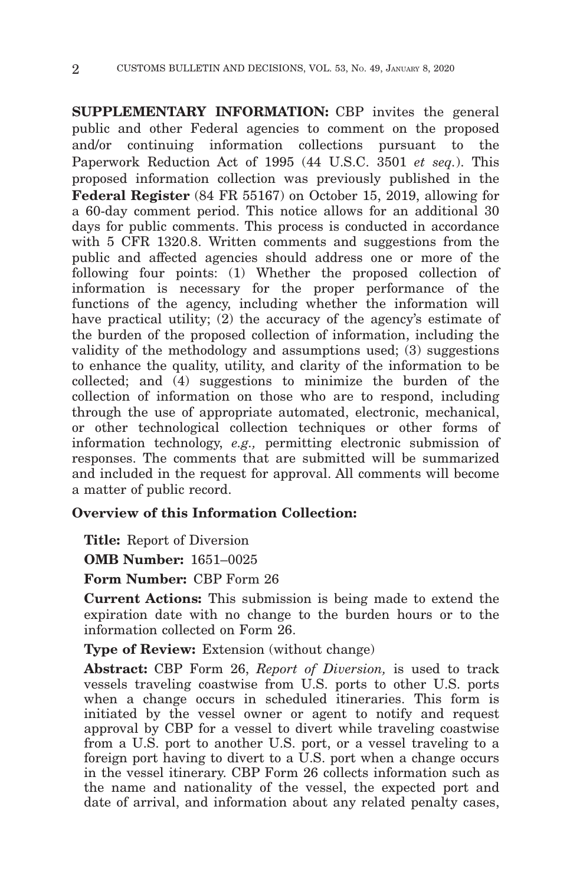**SUPPLEMENTARY INFORMATION:** CBP invites the general public and other Federal agencies to comment on the proposed and/or continuing information collections pursuant to the Paperwork Reduction Act of 1995 (44 U.S.C. 3501 *et seq.*). This proposed information collection was previously published in the **Federal Register** (84 FR 55167) on October 15, 2019, allowing for a 60-day comment period. This notice allows for an additional 30 days for public comments. This process is conducted in accordance with 5 CFR 1320.8. Written comments and suggestions from the public and affected agencies should address one or more of the following four points: (1) Whether the proposed collection of information is necessary for the proper performance of the functions of the agency, including whether the information will have practical utility; (2) the accuracy of the agency's estimate of the burden of the proposed collection of information, including the validity of the methodology and assumptions used; (3) suggestions to enhance the quality, utility, and clarity of the information to be collected; and (4) suggestions to minimize the burden of the collection of information on those who are to respond, including through the use of appropriate automated, electronic, mechanical, or other technological collection techniques or other forms of information technology, *e.g.,* permitting electronic submission of responses. The comments that are submitted will be summarized and included in the request for approval. All comments will become a matter of public record.

## **Overview of this Information Collection:**

**Title:** Report of Diversion

**OMB Number:** 1651–0025

**Form Number:** CBP Form 26

**Current Actions:** This submission is being made to extend the expiration date with no change to the burden hours or to the information collected on Form 26.

**Type of Review:** Extension (without change)

**Abstract:** CBP Form 26, *Report of Diversion,* is used to track vessels traveling coastwise from U.S. ports to other U.S. ports when a change occurs in scheduled itineraries. This form is initiated by the vessel owner or agent to notify and request approval by CBP for a vessel to divert while traveling coastwise from a U.S. port to another U.S. port, or a vessel traveling to a foreign port having to divert to a U.S. port when a change occurs in the vessel itinerary. CBP Form 26 collects information such as the name and nationality of the vessel, the expected port and date of arrival, and information about any related penalty cases,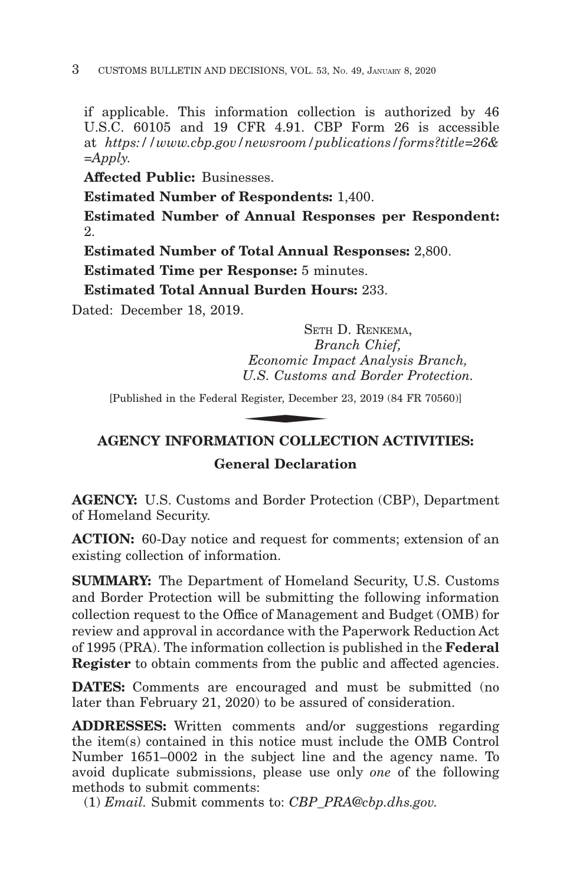if applicable. This information collection is authorized by 46 U.S.C. 60105 and 19 CFR 4.91. CBP Form 26 is accessible at *https://www.cbp.gov/newsroom/publications/forms?title=26& =Apply.*

**Affected Public:** Businesses.

**Estimated Number of Respondents:** 1,400.

**Estimated Number of Annual Responses per Respondent:** 2.

**Estimated Number of Total Annual Responses:** 2,800.

**Estimated Time per Response:** 5 minutes.

**Estimated Total Annual Burden Hours:** 233.

Dated: December 18, 2019.

SETH D. RENKEMA, *Branch Chief, Economic Impact Analysis Branch, U.S. Customs and Border Protection.* SETH<br>*Br<br>Economic Im<sub>,</sub><br>U.S. Customs*<br>Register, Decembe<br>PLON COLLE

[Published in the Federal Register, December 23, 2019 (84 FR 70560)]

## **AGENCY INFORMATION COLLECTION ACTIVITIES:**

## **General Declaration**

**AGENCY:** U.S. Customs and Border Protection (CBP), Department of Homeland Security.

**ACTION:** 60-Day notice and request for comments; extension of an existing collection of information.

**SUMMARY:** The Department of Homeland Security, U.S. Customs and Border Protection will be submitting the following information collection request to the Office of Management and Budget (OMB) for review and approval in accordance with the Paperwork Reduction Act of 1995 (PRA). The information collection is published in the **Federal Register** to obtain comments from the public and affected agencies.

**DATES:** Comments are encouraged and must be submitted (no later than February 21, 2020) to be assured of consideration.

**ADDRESSES:** Written comments and/or suggestions regarding the item(s) contained in this notice must include the OMB Control Number 1651–0002 in the subject line and the agency name. To avoid duplicate submissions, please use only *one* of the following methods to submit comments:

(1) *Email.* Submit comments to: *CBP\_PRA@cbp.dhs.gov.*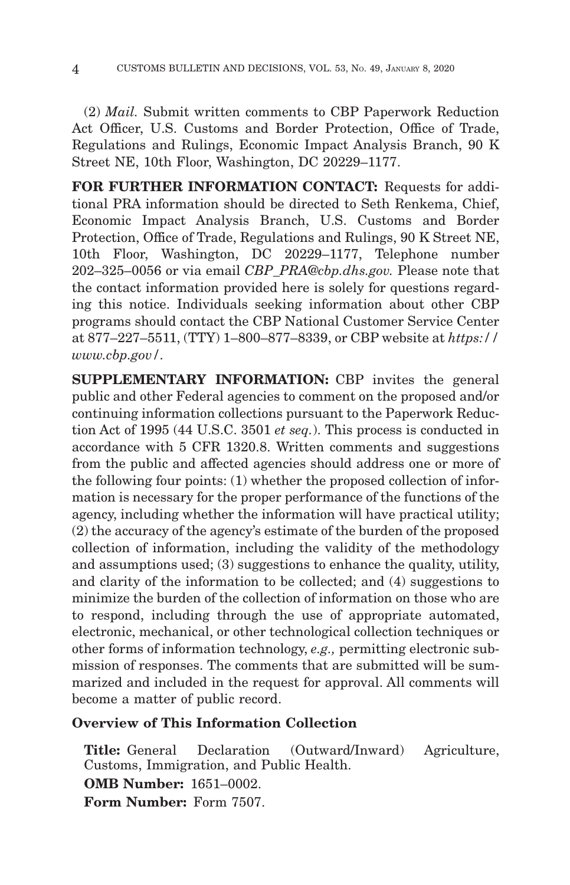(2) *Mail.* Submit written comments to CBP Paperwork Reduction Act Officer, U.S. Customs and Border Protection, Office of Trade, Regulations and Rulings, Economic Impact Analysis Branch, 90 K Street NE, 10th Floor, Washington, DC 20229–1177.

**FOR FURTHER INFORMATION CONTACT:** Requests for additional PRA information should be directed to Seth Renkema, Chief, Economic Impact Analysis Branch, U.S. Customs and Border Protection, Office of Trade, Regulations and Rulings, 90 K Street NE, 10th Floor, Washington, DC 20229–1177, Telephone number 202–325–0056 or via email *CBP\_PRA@cbp.dhs.gov.* Please note that the contact information provided here is solely for questions regarding this notice. Individuals seeking information about other CBP programs should contact the CBP National Customer Service Center at 877–227–5511, (TTY) 1–800–877–8339, or CBP website at *https:// www.cbp.gov/.*

**SUPPLEMENTARY INFORMATION:** CBP invites the general public and other Federal agencies to comment on the proposed and/or continuing information collections pursuant to the Paperwork Reduction Act of 1995 (44 U.S.C. 3501 *et seq.*). This process is conducted in accordance with 5 CFR 1320.8. Written comments and suggestions from the public and affected agencies should address one or more of the following four points: (1) whether the proposed collection of information is necessary for the proper performance of the functions of the agency, including whether the information will have practical utility; (2) the accuracy of the agency's estimate of the burden of the proposed collection of information, including the validity of the methodology and assumptions used; (3) suggestions to enhance the quality, utility, and clarity of the information to be collected; and (4) suggestions to minimize the burden of the collection of information on those who are to respond, including through the use of appropriate automated, electronic, mechanical, or other technological collection techniques or other forms of information technology, *e.g.,* permitting electronic submission of responses. The comments that are submitted will be summarized and included in the request for approval. All comments will become a matter of public record.

## **Overview of This Information Collection**

**Title:** General Declaration (Outward/Inward) Agriculture, Customs, Immigration, and Public Health. **OMB Number:** 1651–0002. **Form Number:** Form 7507.